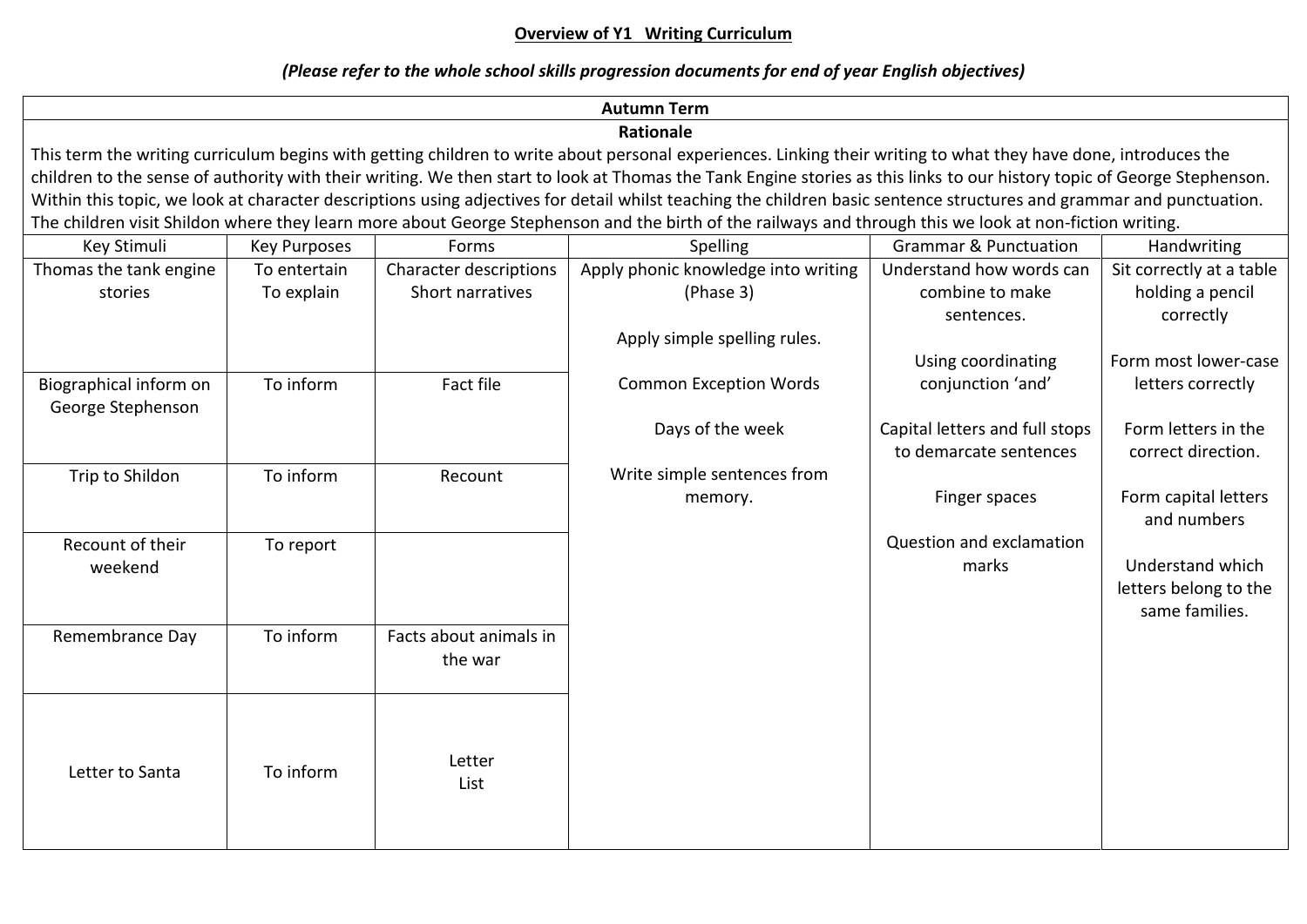# **Overview of Y1 Writing Curriculum**

# *(Please refer to the whole school skills progression documents for end of year English objectives)*

| <b>Autumn Term</b>                                                                                                                                                      |                                                                                                                                                         |                        |                                     |                                  |                          |  |
|-------------------------------------------------------------------------------------------------------------------------------------------------------------------------|---------------------------------------------------------------------------------------------------------------------------------------------------------|------------------------|-------------------------------------|----------------------------------|--------------------------|--|
| Rationale                                                                                                                                                               |                                                                                                                                                         |                        |                                     |                                  |                          |  |
| This term the writing curriculum begins with getting children to write about personal experiences. Linking their writing to what they have done, introduces the         |                                                                                                                                                         |                        |                                     |                                  |                          |  |
| children to the sense of authority with their writing. We then start to look at Thomas the Tank Engine stories as this links to our history topic of George Stephenson. |                                                                                                                                                         |                        |                                     |                                  |                          |  |
| Within this topic, we look at character descriptions using adjectives for detail whilst teaching the children basic sentence structures and grammar and punctuation.    |                                                                                                                                                         |                        |                                     |                                  |                          |  |
|                                                                                                                                                                         | The children visit Shildon where they learn more about George Stephenson and the birth of the railways and through this we look at non-fiction writing. |                        |                                     |                                  |                          |  |
| Key Stimuli                                                                                                                                                             | <b>Key Purposes</b>                                                                                                                                     | Forms                  | Spelling                            | <b>Grammar &amp; Punctuation</b> | Handwriting              |  |
| Thomas the tank engine                                                                                                                                                  | To entertain                                                                                                                                            | Character descriptions | Apply phonic knowledge into writing | Understand how words can         | Sit correctly at a table |  |
| stories                                                                                                                                                                 | To explain                                                                                                                                              | Short narratives       | (Phase 3)                           | combine to make                  | holding a pencil         |  |
|                                                                                                                                                                         |                                                                                                                                                         |                        |                                     | sentences.                       | correctly                |  |
|                                                                                                                                                                         |                                                                                                                                                         |                        | Apply simple spelling rules.        |                                  |                          |  |
|                                                                                                                                                                         |                                                                                                                                                         |                        |                                     | Using coordinating               | Form most lower-case     |  |
| Biographical inform on                                                                                                                                                  | To inform                                                                                                                                               | <b>Fact file</b>       | <b>Common Exception Words</b>       | conjunction 'and'                | letters correctly        |  |
| George Stephenson                                                                                                                                                       |                                                                                                                                                         |                        |                                     |                                  |                          |  |
|                                                                                                                                                                         |                                                                                                                                                         |                        | Days of the week                    | Capital letters and full stops   | Form letters in the      |  |
|                                                                                                                                                                         |                                                                                                                                                         |                        |                                     | to demarcate sentences           | correct direction.       |  |
| Trip to Shildon                                                                                                                                                         | To inform                                                                                                                                               | Recount                | Write simple sentences from         |                                  |                          |  |
|                                                                                                                                                                         |                                                                                                                                                         |                        | memory.                             | Finger spaces                    | Form capital letters     |  |
|                                                                                                                                                                         |                                                                                                                                                         |                        |                                     |                                  | and numbers              |  |
| Recount of their                                                                                                                                                        | To report                                                                                                                                               |                        |                                     | Question and exclamation         |                          |  |
| weekend                                                                                                                                                                 |                                                                                                                                                         |                        |                                     | marks                            | Understand which         |  |
|                                                                                                                                                                         |                                                                                                                                                         |                        |                                     |                                  | letters belong to the    |  |
|                                                                                                                                                                         |                                                                                                                                                         |                        |                                     |                                  | same families.           |  |
| Remembrance Day                                                                                                                                                         | To inform                                                                                                                                               | Facts about animals in |                                     |                                  |                          |  |
|                                                                                                                                                                         |                                                                                                                                                         | the war                |                                     |                                  |                          |  |
|                                                                                                                                                                         |                                                                                                                                                         |                        |                                     |                                  |                          |  |
|                                                                                                                                                                         |                                                                                                                                                         |                        |                                     |                                  |                          |  |
|                                                                                                                                                                         |                                                                                                                                                         |                        |                                     |                                  |                          |  |
|                                                                                                                                                                         |                                                                                                                                                         | Letter                 |                                     |                                  |                          |  |
| Letter to Santa                                                                                                                                                         | To inform                                                                                                                                               | List                   |                                     |                                  |                          |  |
|                                                                                                                                                                         |                                                                                                                                                         |                        |                                     |                                  |                          |  |
|                                                                                                                                                                         |                                                                                                                                                         |                        |                                     |                                  |                          |  |
|                                                                                                                                                                         |                                                                                                                                                         |                        |                                     |                                  |                          |  |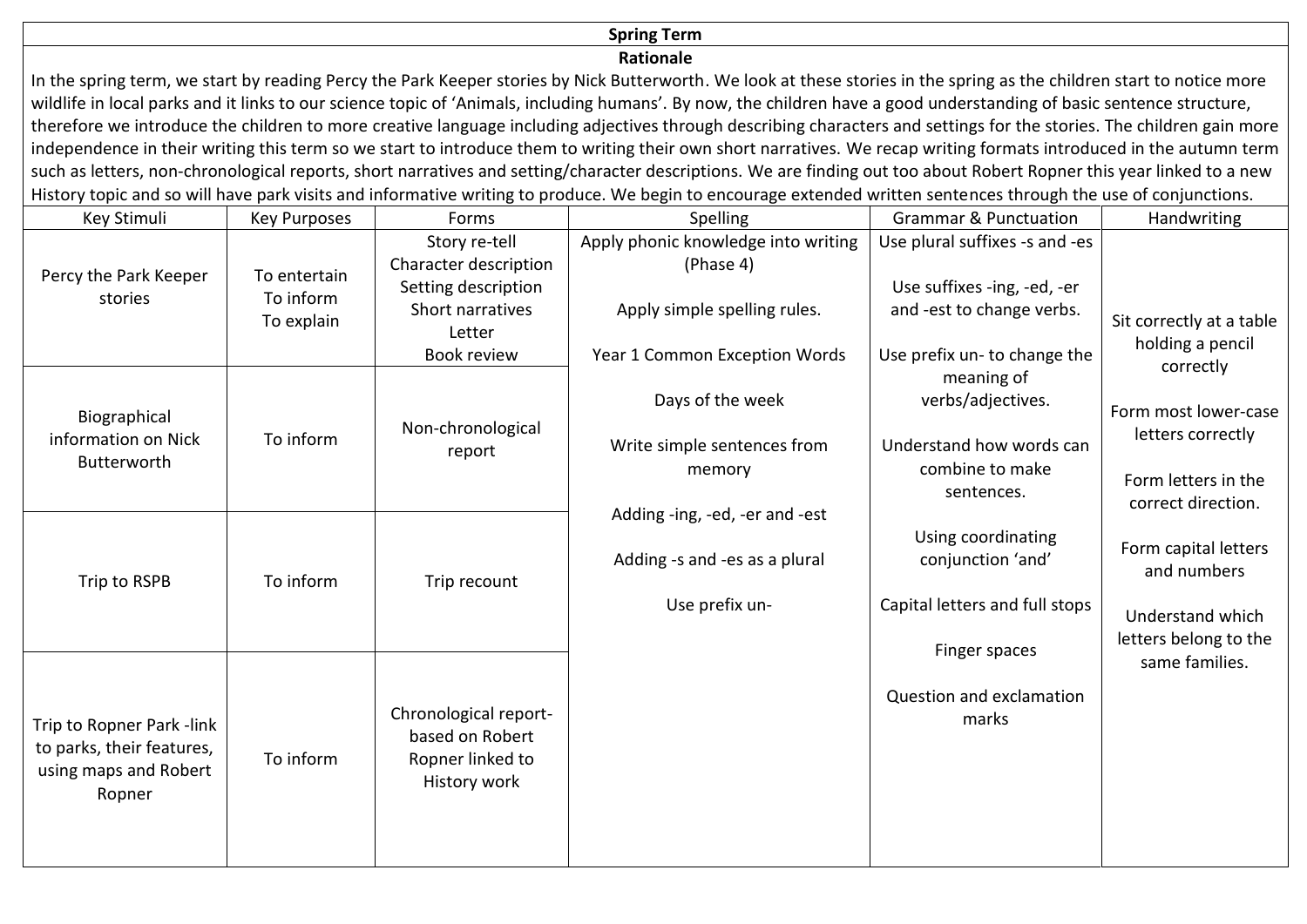### **Spring Term**

#### **Rationale**

In the spring term, we start by reading Percy the Park Keeper stories by Nick Butterworth. We look at these stories in the spring as the children start to notice more wildlife in local parks and it links to our science topic of 'Animals, including humans'. By now, the children have a good understanding of basic sentence structure, therefore we introduce the children to more creative language including adjectives through describing characters and settings for the stories. The children gain more independence in their writing this term so we start to introduce them to writing their own short narratives. We recap writing formats introduced in the autumn term such as letters, non-chronological reports, short narratives and setting/character descriptions. We are finding out too about Robert Ropner this year linked to a new History topic and so will have park visits and informative writing to produce. We begin to encourage extended written sentences through the use of conjunctions.

| Key Stimuli                                            | <b>Key Purposes</b>       | Forms                                                        | Spelling                            | <b>Grammar &amp; Punctuation</b> | Handwriting              |
|--------------------------------------------------------|---------------------------|--------------------------------------------------------------|-------------------------------------|----------------------------------|--------------------------|
| Percy the Park Keeper<br>stories                       | To entertain<br>To inform | Story re-tell                                                | Apply phonic knowledge into writing | Use plural suffixes -s and -es   |                          |
|                                                        |                           | Character description                                        | (Phase 4)                           |                                  |                          |
|                                                        |                           | Setting description                                          |                                     | Use suffixes -ing, -ed, -er      |                          |
|                                                        | To explain                | Short narratives                                             | Apply simple spelling rules.        | and -est to change verbs.        | Sit correctly at a table |
|                                                        |                           | Letter                                                       |                                     |                                  | holding a pencil         |
|                                                        |                           | <b>Book review</b>                                           | Year 1 Common Exception Words       | Use prefix un- to change the     | correctly                |
|                                                        | To inform                 | Non-chronological<br>report                                  |                                     | meaning of                       |                          |
| Biographical<br>information on Nick<br>Butterworth     |                           |                                                              | Days of the week                    | verbs/adjectives.                | Form most lower-case     |
|                                                        |                           |                                                              | Write simple sentences from         | Understand how words can         | letters correctly        |
|                                                        |                           |                                                              | memory                              | combine to make                  |                          |
|                                                        |                           |                                                              |                                     | sentences.                       | Form letters in the      |
|                                                        |                           |                                                              | Adding -ing, -ed, -er and -est      |                                  | correct direction.       |
|                                                        | To inform                 | Trip recount                                                 |                                     | Using coordinating               | Form capital letters     |
|                                                        |                           |                                                              | Adding -s and -es as a plural       | conjunction 'and'                | and numbers              |
| Trip to RSPB                                           |                           |                                                              |                                     |                                  |                          |
|                                                        |                           |                                                              | Use prefix un-                      | Capital letters and full stops   | Understand which         |
|                                                        |                           |                                                              |                                     |                                  | letters belong to the    |
|                                                        |                           |                                                              |                                     | Finger spaces                    | same families.           |
| Trip to Ropner Park -link<br>to parks, their features, | To inform                 | Chronological report-<br>based on Robert<br>Ropner linked to |                                     | Question and exclamation         |                          |
|                                                        |                           |                                                              |                                     | marks                            |                          |
|                                                        |                           |                                                              |                                     |                                  |                          |
|                                                        |                           |                                                              |                                     |                                  |                          |
| using maps and Robert                                  |                           | History work                                                 |                                     |                                  |                          |
| Ropner                                                 |                           |                                                              |                                     |                                  |                          |
|                                                        |                           |                                                              |                                     |                                  |                          |
|                                                        |                           |                                                              |                                     |                                  |                          |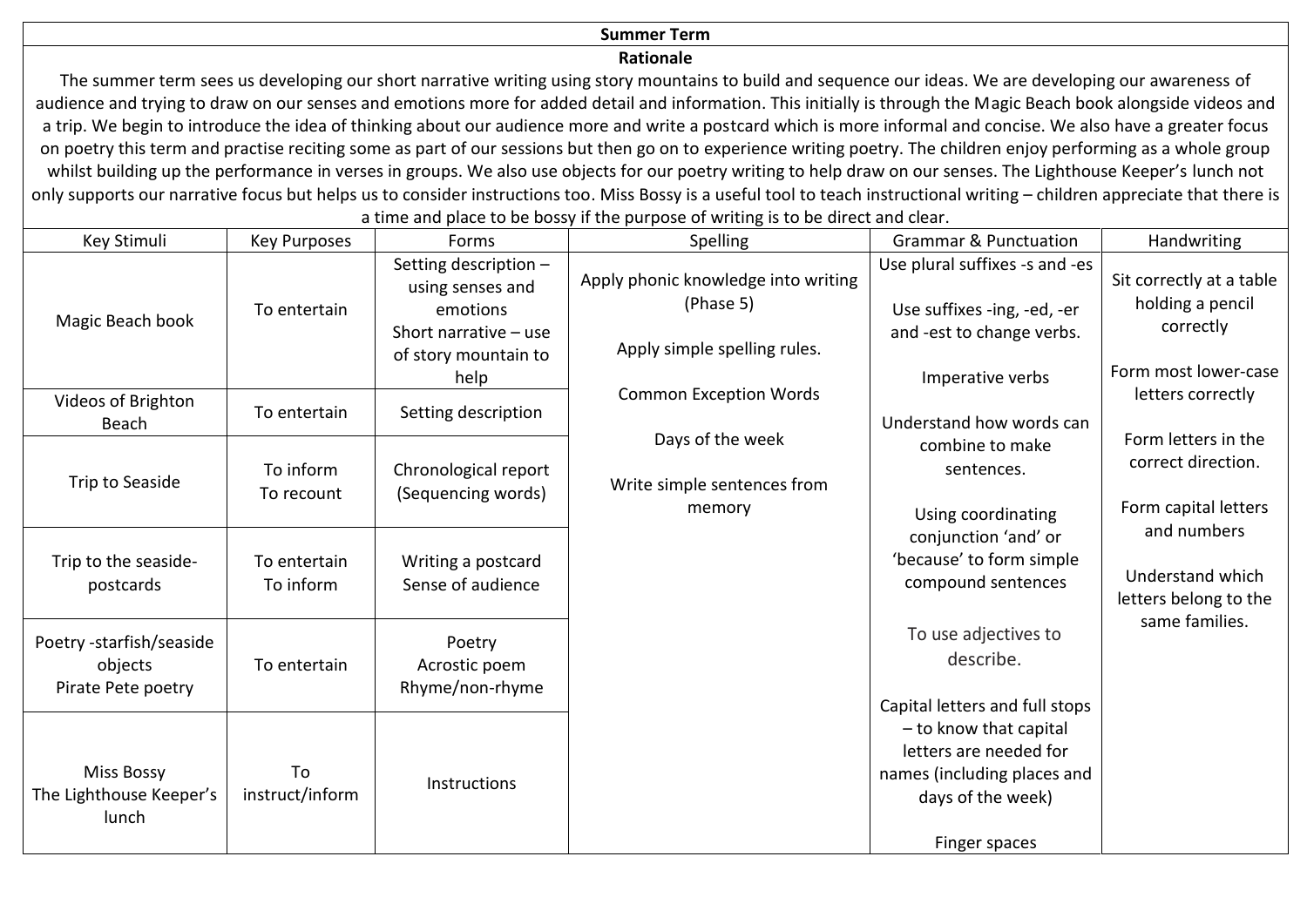### **Summer Term**

#### **Rationale**

The summer term sees us developing our short narrative writing using story mountains to build and sequence our ideas. We are developing our awareness of audience and trying to draw on our senses and emotions more for added detail and information. This initially is through the Magic Beach book alongside videos and a trip. We begin to introduce the idea of thinking about our audience more and write a postcard which is more informal and concise. We also have a greater focus on poetry this term and practise reciting some as part of our sessions but then go on to experience writing poetry. The children enjoy performing as a whole group whilst building up the performance in verses in groups. We also use objects for our poetry writing to help draw on our senses. The Lighthouse Keeper's lunch not only supports our narrative focus but helps us to consider instructions too. Miss Bossy is a useful tool to teach instructional writing – children appreciate that there is a time and place to be bossy if the purpose of writing is to be direct and clear.

| Key Stimuli                                               | <b>Key Purposes</b>       | Forms                                                                                                    | Spelling                                                                         | <b>Grammar &amp; Punctuation</b>                                                                                      | Handwriting                                                       |
|-----------------------------------------------------------|---------------------------|----------------------------------------------------------------------------------------------------------|----------------------------------------------------------------------------------|-----------------------------------------------------------------------------------------------------------------------|-------------------------------------------------------------------|
| Magic Beach book                                          | To entertain              | Setting description -<br>using senses and<br>emotions<br>Short narrative $-$ use<br>of story mountain to | Apply phonic knowledge into writing<br>(Phase 5)<br>Apply simple spelling rules. | Use plural suffixes -s and -es<br>Use suffixes -ing, -ed, -er<br>and -est to change verbs.                            | Sit correctly at a table<br>holding a pencil<br>correctly         |
| Videos of Brighton                                        | To entertain              | help<br>Setting description                                                                              | <b>Common Exception Words</b>                                                    | Imperative verbs<br>Understand how words can                                                                          | Form most lower-case<br>letters correctly                         |
| Beach<br>Trip to Seaside                                  | To inform<br>To recount   | Chronological report<br>(Sequencing words)                                                               | Days of the week<br>Write simple sentences from<br>memory                        | combine to make<br>sentences.<br>Using coordinating                                                                   | Form letters in the<br>correct direction.<br>Form capital letters |
| Trip to the seaside-<br>postcards                         | To entertain<br>To inform | Writing a postcard<br>Sense of audience                                                                  |                                                                                  | conjunction 'and' or<br>'because' to form simple<br>compound sentences                                                | and numbers<br>Understand which<br>letters belong to the          |
| Poetry -starfish/seaside<br>objects<br>Pirate Pete poetry | To entertain              | Poetry<br>Acrostic poem<br>Rhyme/non-rhyme                                                               |                                                                                  | To use adjectives to<br>describe.<br>Capital letters and full stops                                                   | same families.                                                    |
| <b>Miss Bossy</b><br>The Lighthouse Keeper's<br>lunch     | To<br>instruct/inform     | <b>Instructions</b>                                                                                      |                                                                                  | - to know that capital<br>letters are needed for<br>names (including places and<br>days of the week)<br>Finger spaces |                                                                   |